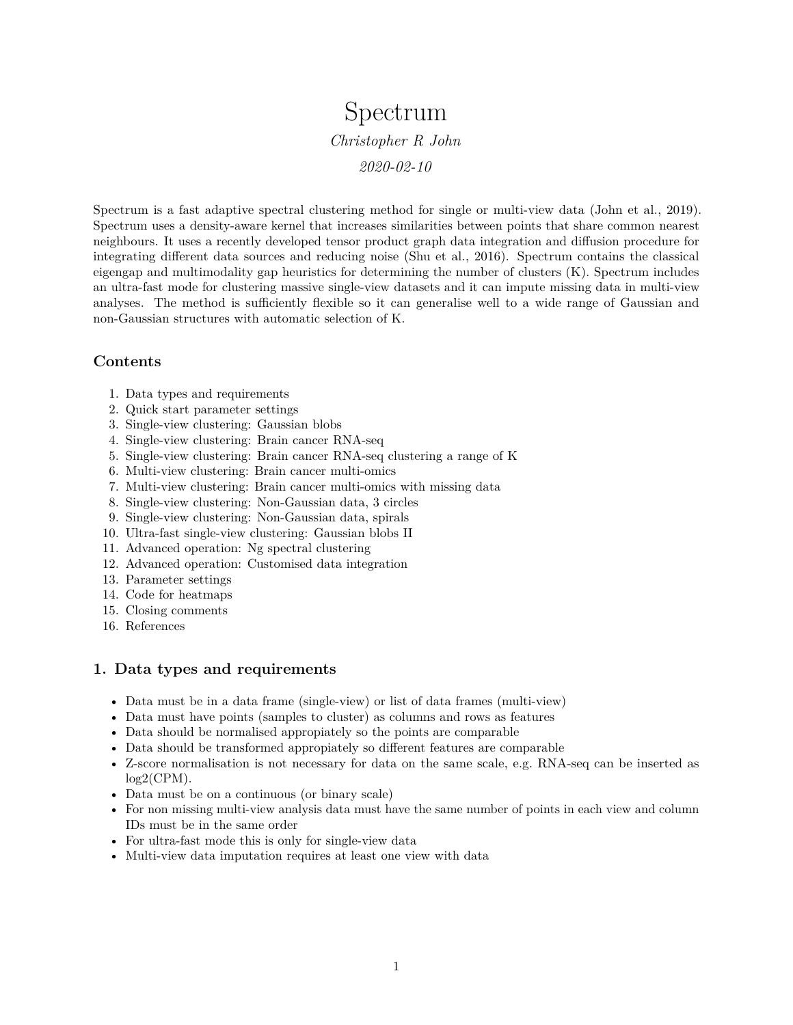# Spectrum *Christopher R John 2020-02-10*

Spectrum is a fast adaptive spectral clustering method for single or multi-view data (John et al., 2019). Spectrum uses a density-aware kernel that increases similarities between points that share common nearest neighbours. It uses a recently developed tensor product graph data integration and diffusion procedure for integrating different data sources and reducing noise (Shu et al., 2016). Spectrum contains the classical eigengap and multimodality gap heuristics for determining the number of clusters (K). Spectrum includes an ultra-fast mode for clustering massive single-view datasets and it can impute missing data in multi-view analyses. The method is sufficiently flexible so it can generalise well to a wide range of Gaussian and non-Gaussian structures with automatic selection of K.

# **Contents**

- 1. Data types and requirements
- 2. Quick start parameter settings
- 3. Single-view clustering: Gaussian blobs
- 4. Single-view clustering: Brain cancer RNA-seq
- 5. Single-view clustering: Brain cancer RNA-seq clustering a range of K
- 6. Multi-view clustering: Brain cancer multi-omics
- 7. Multi-view clustering: Brain cancer multi-omics with missing data
- 8. Single-view clustering: Non-Gaussian data, 3 circles
- 9. Single-view clustering: Non-Gaussian data, spirals
- 10. Ultra-fast single-view clustering: Gaussian blobs II
- 11. Advanced operation: Ng spectral clustering
- 12. Advanced operation: Customised data integration
- 13. Parameter settings
- 14. Code for heatmaps
- 15. Closing comments
- 16. References

# **1. Data types and requirements**

- Data must be in a data frame (single-view) or list of data frames (multi-view)
- Data must have points (samples to cluster) as columns and rows as features
- Data should be normalised appropiately so the points are comparable
- Data should be transformed appropiately so different features are comparable
- Z-score normalisation is not necessary for data on the same scale, e.g. RNA-seq can be inserted as  $log2$ (CPM).
- Data must be on a continuous (or binary scale)
- For non missing multi-view analysis data must have the same number of points in each view and column IDs must be in the same order
- For ultra-fast mode this is only for single-view data
- Multi-view data imputation requires at least one view with data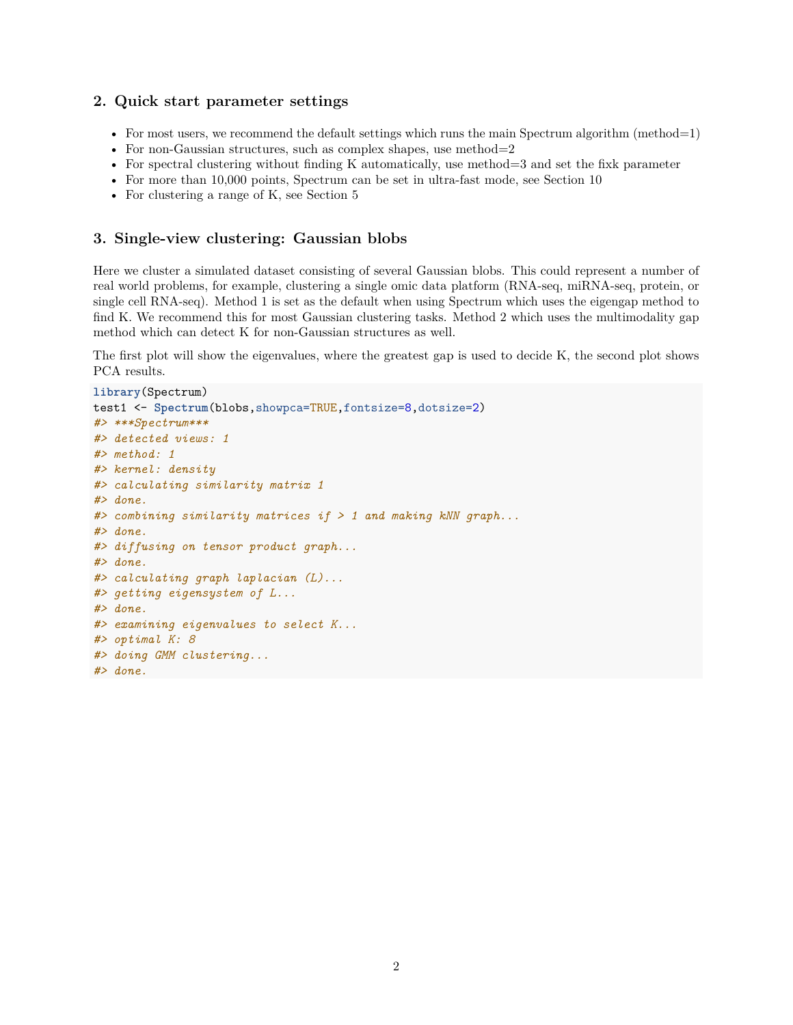#### **2. Quick start parameter settings**

- For most users, we recommend the default settings which runs the main Spectrum algorithm (method=1)
- For non-Gaussian structures, such as complex shapes, use method=2
- For spectral clustering without finding K automatically, use method=3 and set the fixk parameter
- For more than 10,000 points, Spectrum can be set in ultra-fast mode, see Section 10
- For clustering a range of K, see Section 5

# **3. Single-view clustering: Gaussian blobs**

Here we cluster a simulated dataset consisting of several Gaussian blobs. This could represent a number of real world problems, for example, clustering a single omic data platform (RNA-seq, miRNA-seq, protein, or single cell RNA-seq). Method 1 is set as the default when using Spectrum which uses the eigengap method to find K. We recommend this for most Gaussian clustering tasks. Method 2 which uses the multimodality gap method which can detect K for non-Gaussian structures as well.

The first plot will show the eigenvalues, where the greatest gap is used to decide K, the second plot shows PCA results.

```
library(Spectrum)
test1 <- Spectrum(blobs,showpca=TRUE,fontsize=8,dotsize=2)
#> ***Spectrum***
#> detected views: 1
#> method: 1
#> kernel: density
#> calculating similarity matrix 1
#> done.
#> combining similarity matrices if > 1 and making kNN graph...
#> done.
#> diffusing on tensor product graph...
#> done.
#> calculating graph laplacian (L)...
#> getting eigensystem of L...
#> done.
#> examining eigenvalues to select K...
#> optimal K: 8
#> doing GMM clustering...
#> done.
```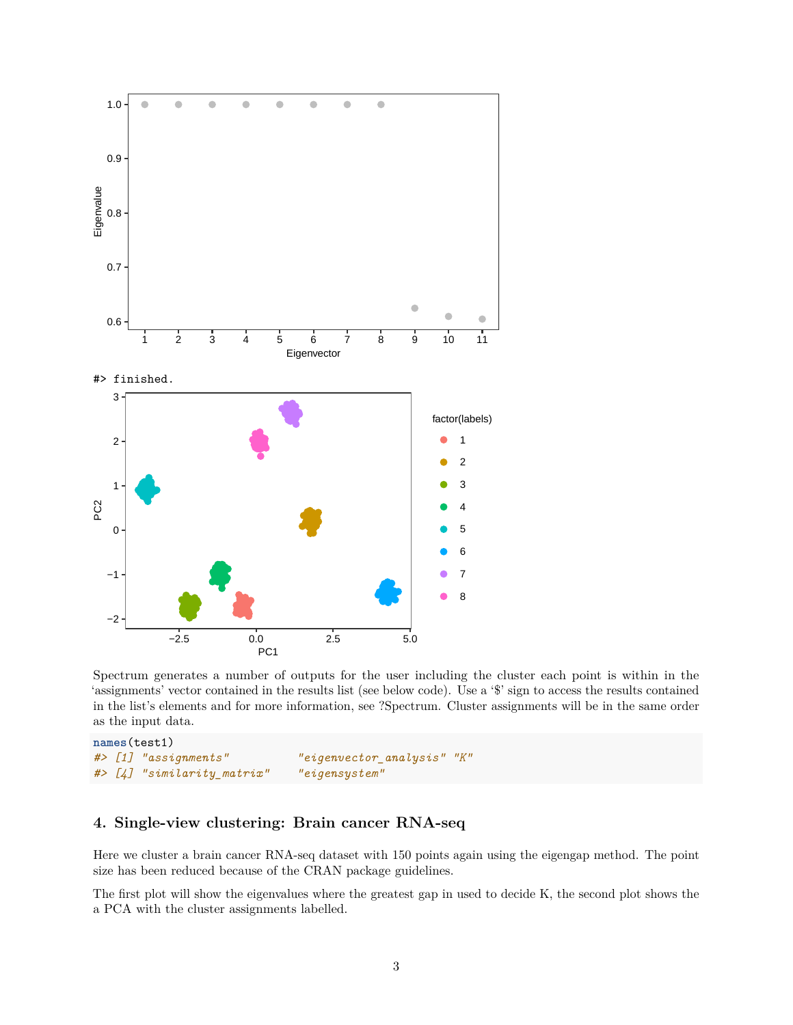

Spectrum generates a number of outputs for the user including the cluster each point is within in the 'assignments' vector contained in the results list (see below code). Use a '\$' sign to access the results contained in the list's elements and for more information, see ?Spectrum. Cluster assignments will be in the same order as the input data.

```
names(test1)
#> [1] "assignments" "eigenvector_analysis" "K"
#> [4] "similarity_matrix" "eigensystem"
```
# **4. Single-view clustering: Brain cancer RNA-seq**

Here we cluster a brain cancer RNA-seq dataset with 150 points again using the eigengap method. The point size has been reduced because of the CRAN package guidelines.

The first plot will show the eigenvalues where the greatest gap in used to decide K, the second plot shows the a PCA with the cluster assignments labelled.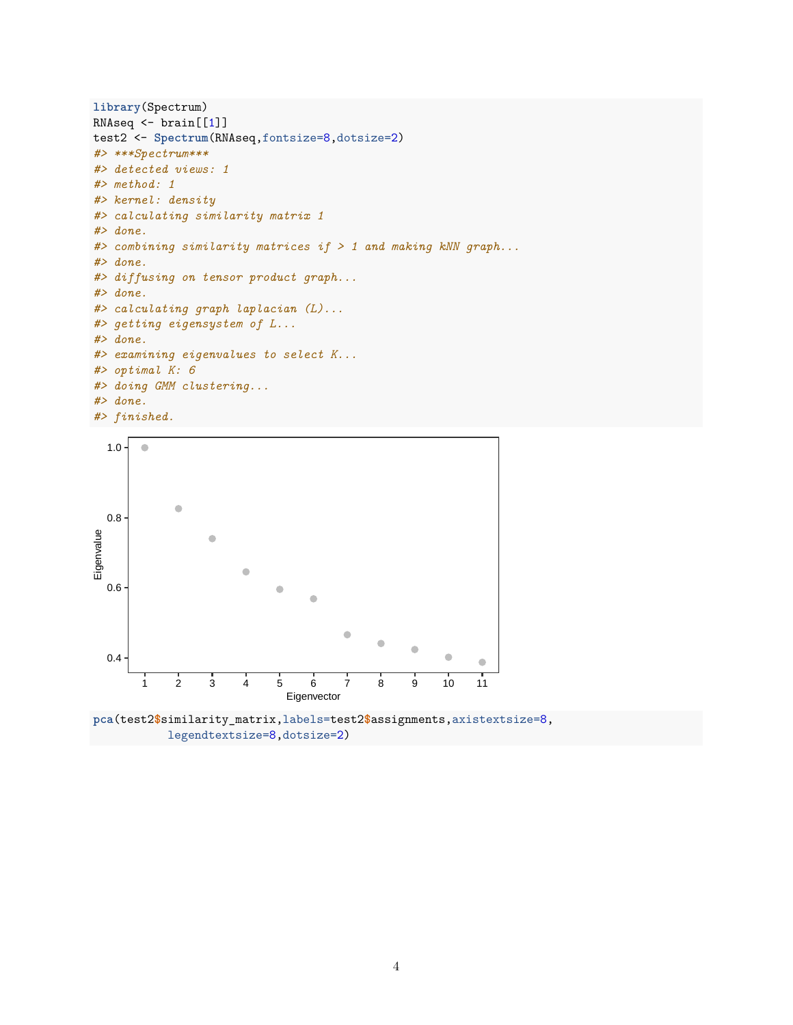```
library(Spectrum)
RNAseq <- brain[[1]]
test2 <- Spectrum(RNAseq,fontsize=8,dotsize=2)
#> ***Spectrum***
#> detected views: 1
#> method: 1
#> kernel: density
#> calculating similarity matrix 1
#> done.
#> combining similarity matrices if > 1 and making kNN graph...
#> done.
#> diffusing on tensor product graph...
#> done.
#> calculating graph laplacian (L)...
#> getting eigensystem of L...
#> done.
#> examining eigenvalues to select K...
#> optimal K: 6
#> doing GMM clustering...
#> done.
#> finished.
```


**pca**(test2**\$**similarity\_matrix,labels=test2**\$**assignments,axistextsize=8, legendtextsize=8,dotsize=2)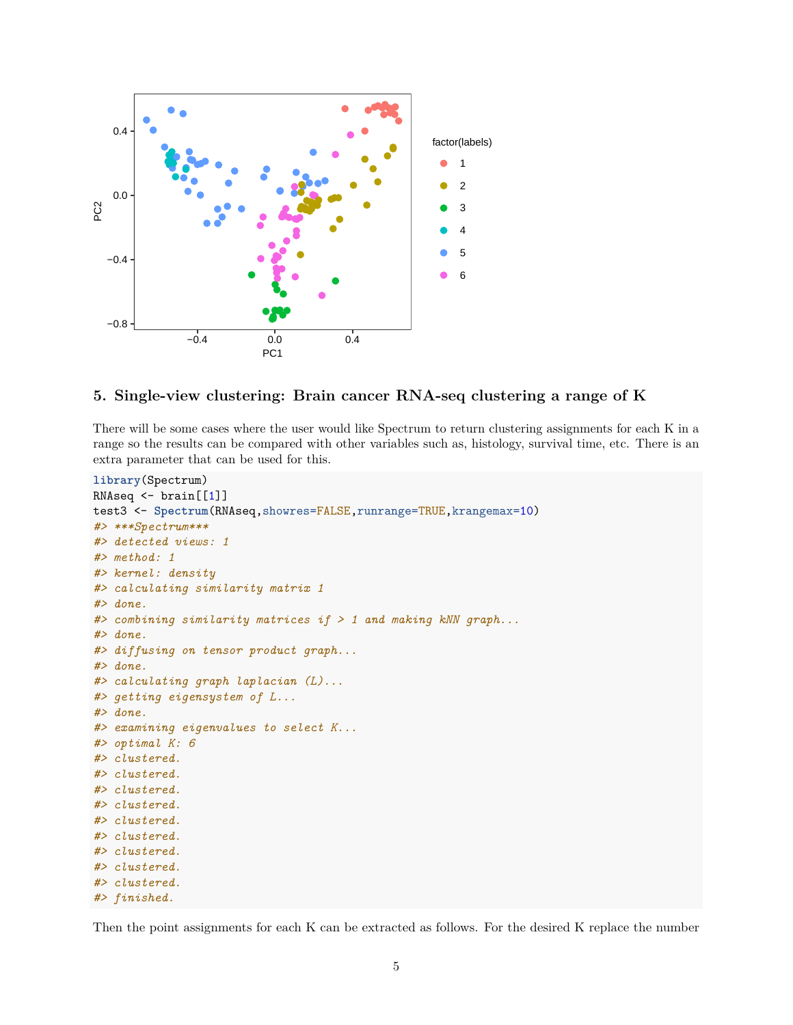

# **5. Single-view clustering: Brain cancer RNA-seq clustering a range of K**

There will be some cases where the user would like Spectrum to return clustering assignments for each K in a range so the results can be compared with other variables such as, histology, survival time, etc. There is an extra parameter that can be used for this.

```
library(Spectrum)
RNAseq <- brain[[1]]
test3 <- Spectrum(RNAseq,showres=FALSE,runrange=TRUE,krangemax=10)
#> ***Spectrum***
#> detected views: 1
#> method: 1
#> kernel: density
#> calculating similarity matrix 1
#> done.
#> combining similarity matrices if > 1 and making kNN graph...
#> done.
#> diffusing on tensor product graph...
#> done.
#> calculating graph laplacian (L)...
#> getting eigensystem of L...
#> done.
#> examining eigenvalues to select K...
#> optimal K: 6
#> clustered.
#> clustered.
#> clustered.
#> clustered.
#> clustered.
#> clustered.
#> clustered.
#> clustered.
#> clustered.
#> finished.
```
Then the point assignments for each K can be extracted as follows. For the desired K replace the number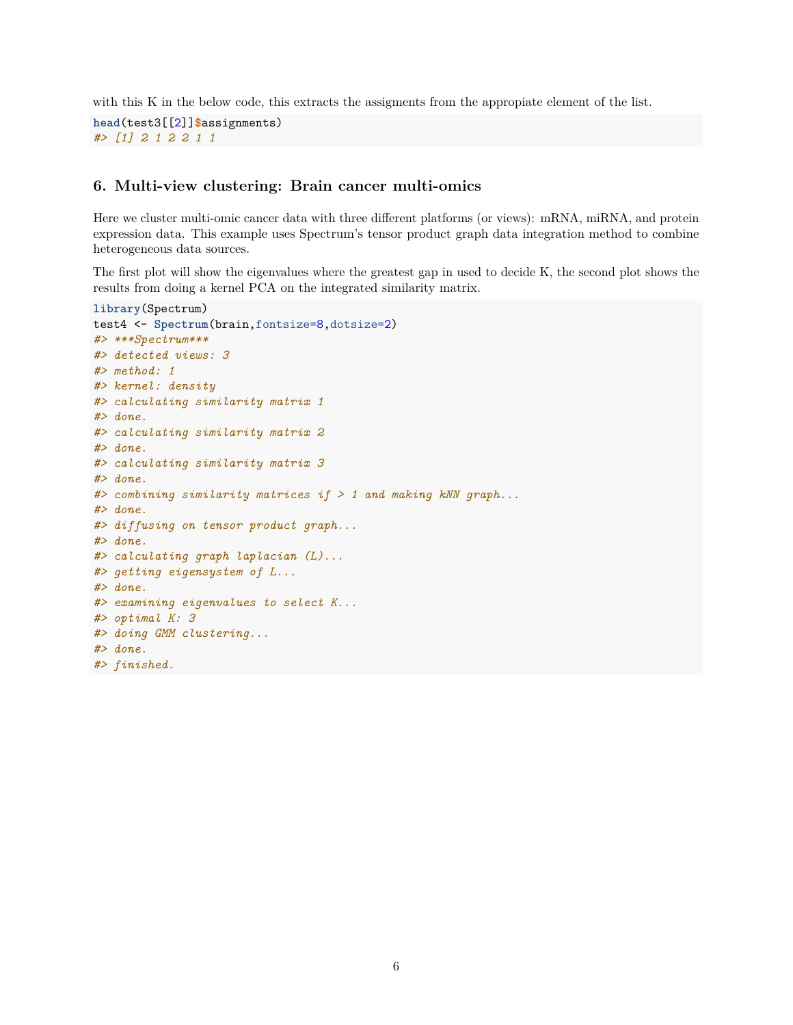with this K in the below code, this extracts the assigments from the appropiate element of the list.

```
head(test3[[2]]$assignments)
#> [1] 2 1 2 2 1 1
```
# **6. Multi-view clustering: Brain cancer multi-omics**

Here we cluster multi-omic cancer data with three different platforms (or views): mRNA, miRNA, and protein expression data. This example uses Spectrum's tensor product graph data integration method to combine heterogeneous data sources.

The first plot will show the eigenvalues where the greatest gap in used to decide K, the second plot shows the results from doing a kernel PCA on the integrated similarity matrix.

```
library(Spectrum)
test4 <- Spectrum(brain,fontsize=8,dotsize=2)
#> ***Spectrum***
#> detected views: 3
#> method: 1
#> kernel: density
#> calculating similarity matrix 1
#> done.
#> calculating similarity matrix 2
#> done.
#> calculating similarity matrix 3
#> done.
#> combining similarity matrices if > 1 and making kNN graph...
#> done.
#> diffusing on tensor product graph...
#> done.
#> calculating graph laplacian (L)...
#> getting eigensystem of L...
#> done.
#> examining eigenvalues to select K...
#> optimal K: 3
#> doing GMM clustering...
#> done.
#> finished.
```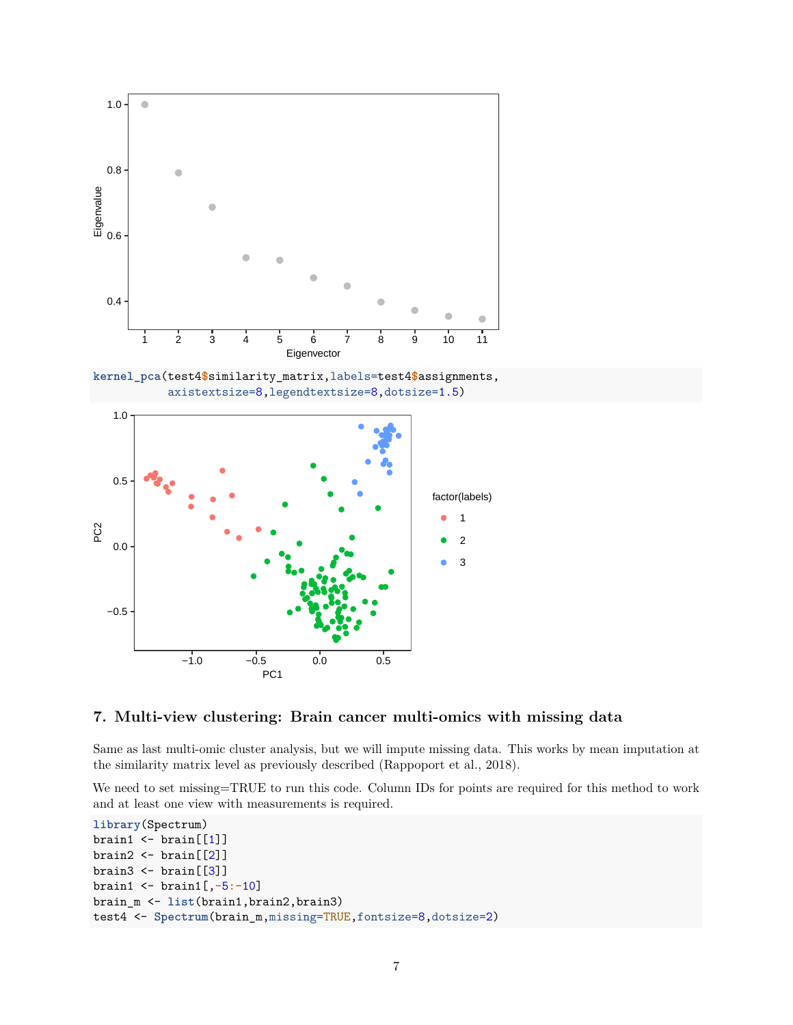

#### **7. Multi-view clustering: Brain cancer multi-omics with missing data**

Same as last multi-omic cluster analysis, but we will impute missing data. This works by mean imputation at the similarity matrix level as previously described (Rappoport et al., 2018).

We need to set missing=TRUE to run this code. Column IDs for points are required for this method to work and at least one view with measurements is required.

```
library(Spectrum)
brain1 \leftarrow \text{brain}[[1]]brain2 \leftarrow \text{brain}([2])brain3 \leftarrow \text{brain}([3])brain1 <- brain1[,-5:-10]
brain_m <- list(brain1,brain2,brain3)
test4 <- Spectrum(brain_m,missing=TRUE,fontsize=8,dotsize=2)
```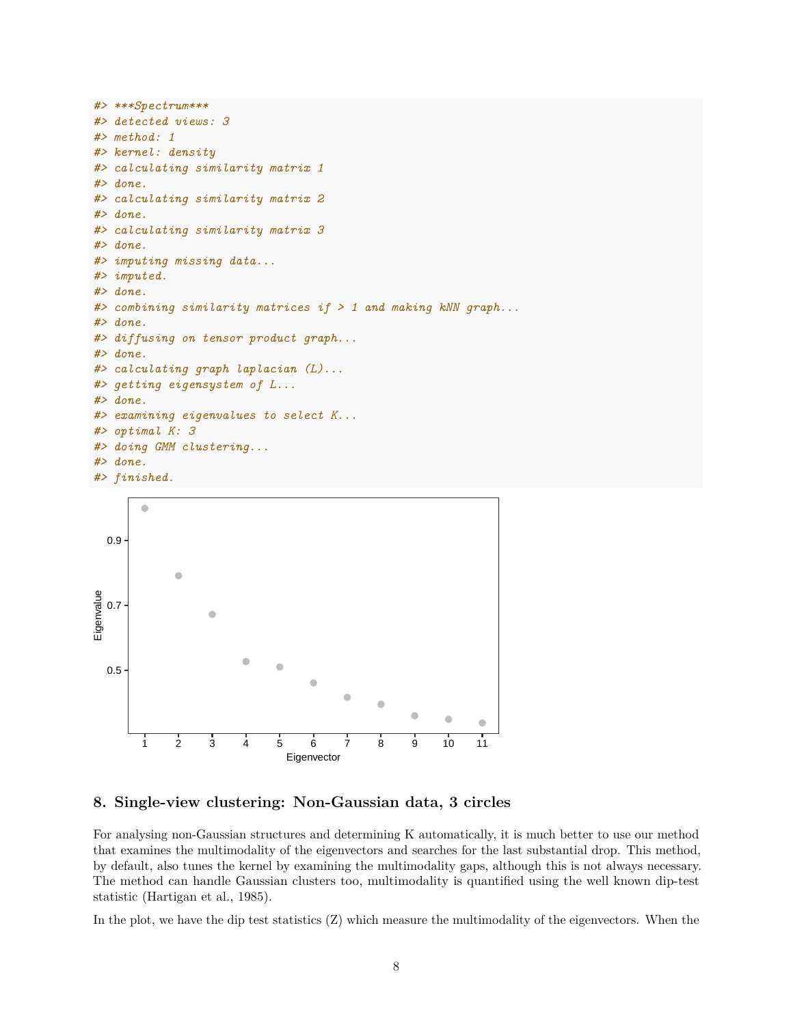```
#> ***Spectrum***
#> detected views: 3
#> method: 1
#> kernel: density
#> calculating similarity matrix 1
#> done.
#> calculating similarity matrix 2
#> done.
#> calculating similarity matrix 3
#> done.
#> imputing missing data...
#> imputed.
#> done.
#> combining similarity matrices if > 1 and making kNN graph...
#> done.
#> diffusing on tensor product graph...
#> done.
#> calculating graph laplacian (L)...
#> getting eigensystem of L...
#> done.
#> examining eigenvalues to select K...
#> optimal K: 3
#> doing GMM clustering...
#> done.
#> finished.
```


#### **8. Single-view clustering: Non-Gaussian data, 3 circles**

For analysing non-Gaussian structures and determining K automatically, it is much better to use our method that examines the multimodality of the eigenvectors and searches for the last substantial drop. This method, by default, also tunes the kernel by examining the multimodality gaps, although this is not always necessary. The method can handle Gaussian clusters too, multimodality is quantified using the well known dip-test statistic (Hartigan et al., 1985).

In the plot, we have the dip test statistics (Z) which measure the multimodality of the eigenvectors. When the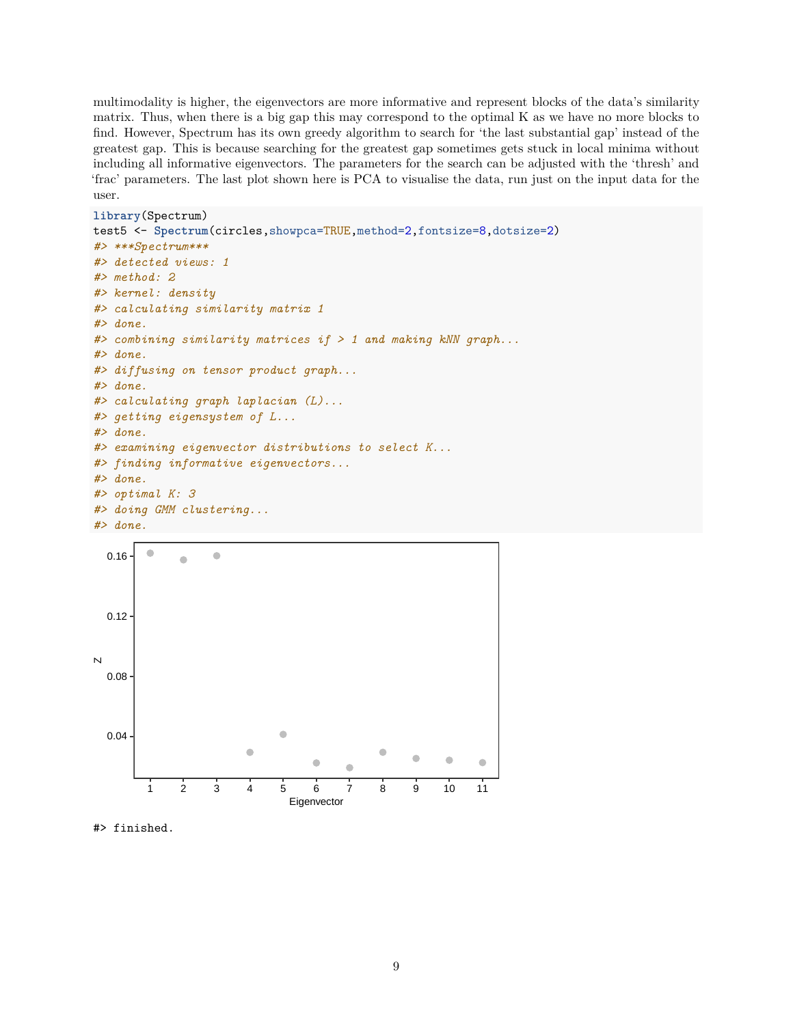multimodality is higher, the eigenvectors are more informative and represent blocks of the data's similarity matrix. Thus, when there is a big gap this may correspond to the optimal K as we have no more blocks to find. However, Spectrum has its own greedy algorithm to search for 'the last substantial gap' instead of the greatest gap. This is because searching for the greatest gap sometimes gets stuck in local minima without including all informative eigenvectors. The parameters for the search can be adjusted with the 'thresh' and 'frac' parameters. The last plot shown here is PCA to visualise the data, run just on the input data for the user.

```
library(Spectrum)
```

```
test5 <- Spectrum(circles,showpca=TRUE,method=2,fontsize=8,dotsize=2)
#> ***Spectrum***
#> detected views: 1
#> method: 2
#> kernel: density
#> calculating similarity matrix 1
#> done.
#> combining similarity matrices if > 1 and making kNN graph...
#> done.
#> diffusing on tensor product graph...
#> done.
#> calculating graph laplacian (L)...
#> getting eigensystem of L...
#> done.
#> examining eigenvector distributions to select K...
#> finding informative eigenvectors...
#> done.
#> optimal K: 3
#> doing GMM clustering...
#> done.
```


#> finished.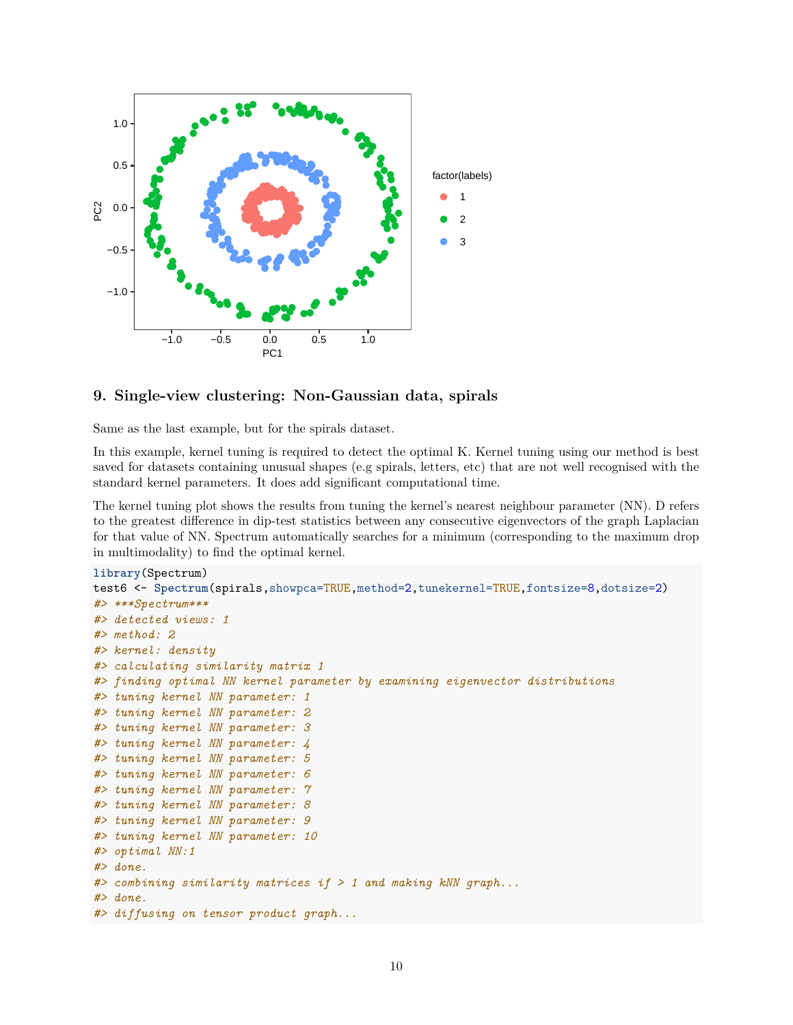

# **9. Single-view clustering: Non-Gaussian data, spirals**

Same as the last example, but for the spirals dataset.

In this example, kernel tuning is required to detect the optimal K. Kernel tuning using our method is best saved for datasets containing unusual shapes (e.g spirals, letters, etc) that are not well recognised with the standard kernel parameters. It does add significant computational time.

The kernel tuning plot shows the results from tuning the kernel's nearest neighbour parameter (NN). D refers to the greatest difference in dip-test statistics between any consecutive eigenvectors of the graph Laplacian for that value of NN. Spectrum automatically searches for a minimum (corresponding to the maximum drop in multimodality) to find the optimal kernel.

```
library(Spectrum)
test6 <- Spectrum(spirals,showpca=TRUE,method=2,tunekernel=TRUE,fontsize=8,dotsize=2)
#> ***Spectrum***
#> detected views: 1
#> method: 2
#> kernel: density
#> calculating similarity matrix 1
#> finding optimal NN kernel parameter by examining eigenvector distributions
#> tuning kernel NN parameter: 1
#> tuning kernel NN parameter: 2
#> tuning kernel NN parameter: 3
#> tuning kernel NN parameter: 4
#> tuning kernel NN parameter: 5
#> tuning kernel NN parameter: 6
#> tuning kernel NN parameter: 7
#> tuning kernel NN parameter: 8
#> tuning kernel NN parameter: 9
#> tuning kernel NN parameter: 10
#> optimal NN:1
#> done.
#> combining similarity matrices if > 1 and making kNN graph...
#> done.
#> diffusing on tensor product graph...
```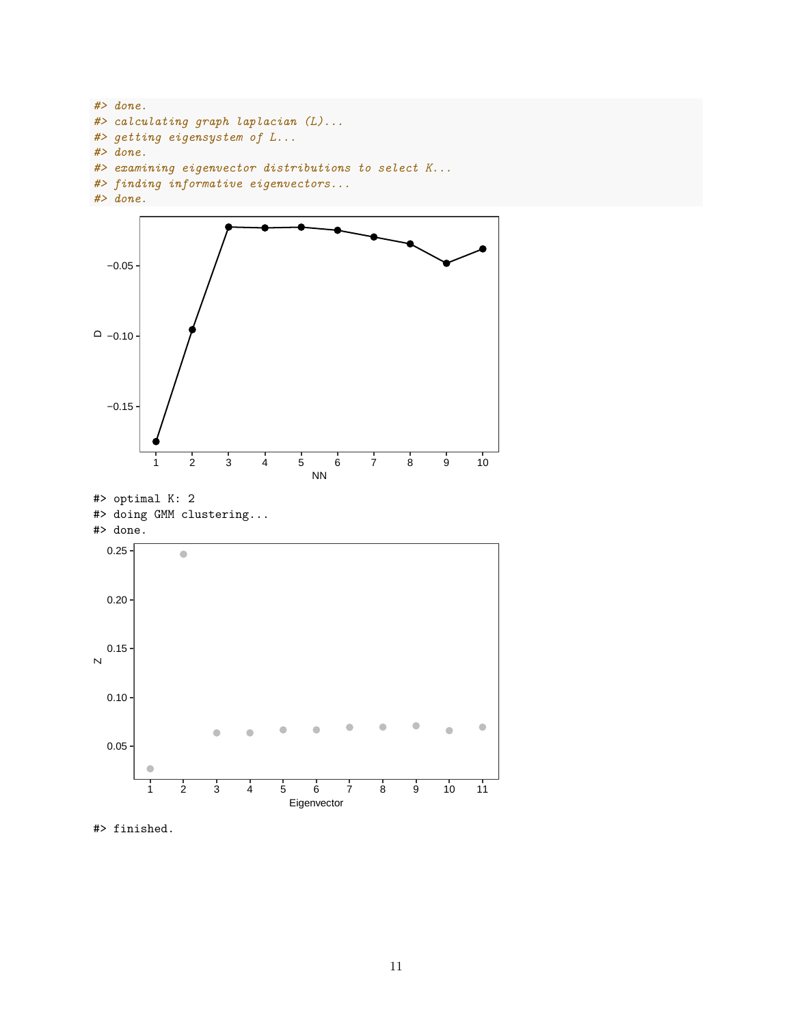```
#> done.
#> calculating graph laplacian (L)...
#> getting eigensystem of L...
#> done.
#> examining eigenvector distributions to select K...
#> finding informative eigenvectors...
#> done.
```


#> finished.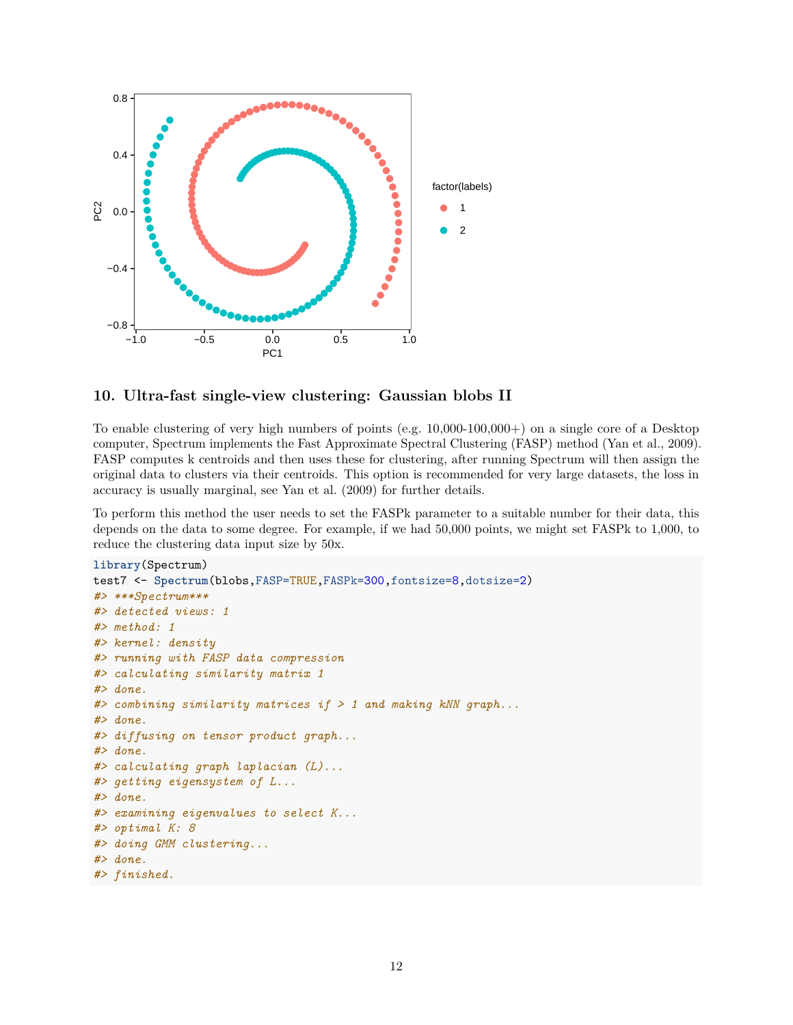

# **10. Ultra-fast single-view clustering: Gaussian blobs II**

To enable clustering of very high numbers of points (e.g. 10,000-100,000+) on a single core of a Desktop computer, Spectrum implements the Fast Approximate Spectral Clustering (FASP) method (Yan et al., 2009). FASP computes k centroids and then uses these for clustering, after running Spectrum will then assign the original data to clusters via their centroids. This option is recommended for very large datasets, the loss in accuracy is usually marginal, see Yan et al. (2009) for further details.

To perform this method the user needs to set the FASPk parameter to a suitable number for their data, this depends on the data to some degree. For example, if we had 50,000 points, we might set FASPk to 1,000, to reduce the clustering data input size by 50x.

```
library(Spectrum)
test7 <- Spectrum(blobs,FASP=TRUE,FASPk=300,fontsize=8,dotsize=2)
#> ***Spectrum***
#> detected views: 1
#> method: 1
#> kernel: density
#> running with FASP data compression
#> calculating similarity matrix 1
#> done.
#> combining similarity matrices if > 1 and making kNN graph...
#> done.
#> diffusing on tensor product graph...
#> done.
#> calculating graph laplacian (L)...
#> getting eigensystem of L...
#> done.
#> examining eigenvalues to select K...
#> optimal K: 8
#> doing GMM clustering...
#> done.
#> finished.
```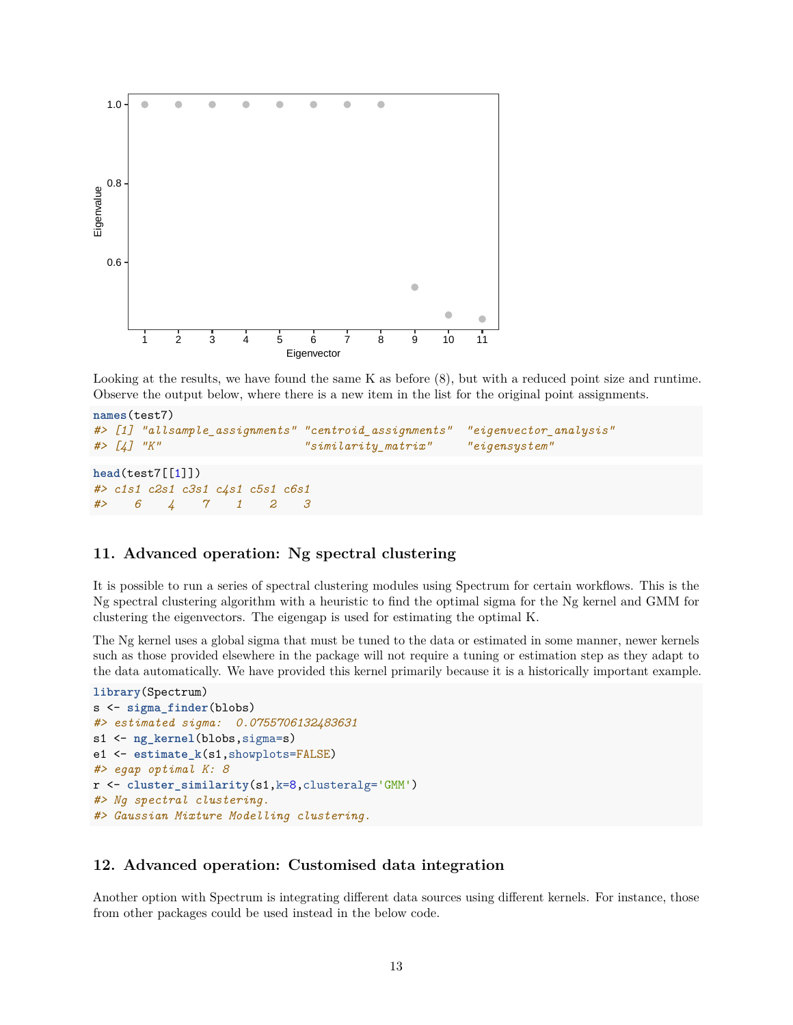

Looking at the results, we have found the same K as before  $(8)$ , but with a reduced point size and runtime. Observe the output below, where there is a new item in the list for the original point assignments.

```
names(test7)
#> [1] "allsample_assignments" "centroid_assignments" "eigenvector_analysis"
#> [4] "K" "similarity_matrix" "eigensystem"
head(test7[[1]])
#> c1s1 c2s1 c3s1 c4s1 c5s1 c6s1
#> 6 4 7 1 2 3
```
# **11. Advanced operation: Ng spectral clustering**

It is possible to run a series of spectral clustering modules using Spectrum for certain workflows. This is the Ng spectral clustering algorithm with a heuristic to find the optimal sigma for the Ng kernel and GMM for clustering the eigenvectors. The eigengap is used for estimating the optimal K.

The Ng kernel uses a global sigma that must be tuned to the data or estimated in some manner, newer kernels such as those provided elsewhere in the package will not require a tuning or estimation step as they adapt to the data automatically. We have provided this kernel primarily because it is a historically important example.

```
library(Spectrum)
s <- sigma_finder(blobs)
#> estimated sigma: 0.0755706132483631
s1 <- ng_kernel(blobs,sigma=s)
e1 <- estimate_k(s1,showplots=FALSE)
#> egap optimal K: 8
r <- cluster_similarity(s1,k=8,clusteralg='GMM')
#> Ng spectral clustering.
#> Gaussian Mixture Modelling clustering.
```
#### **12. Advanced operation: Customised data integration**

Another option with Spectrum is integrating different data sources using different kernels. For instance, those from other packages could be used instead in the below code.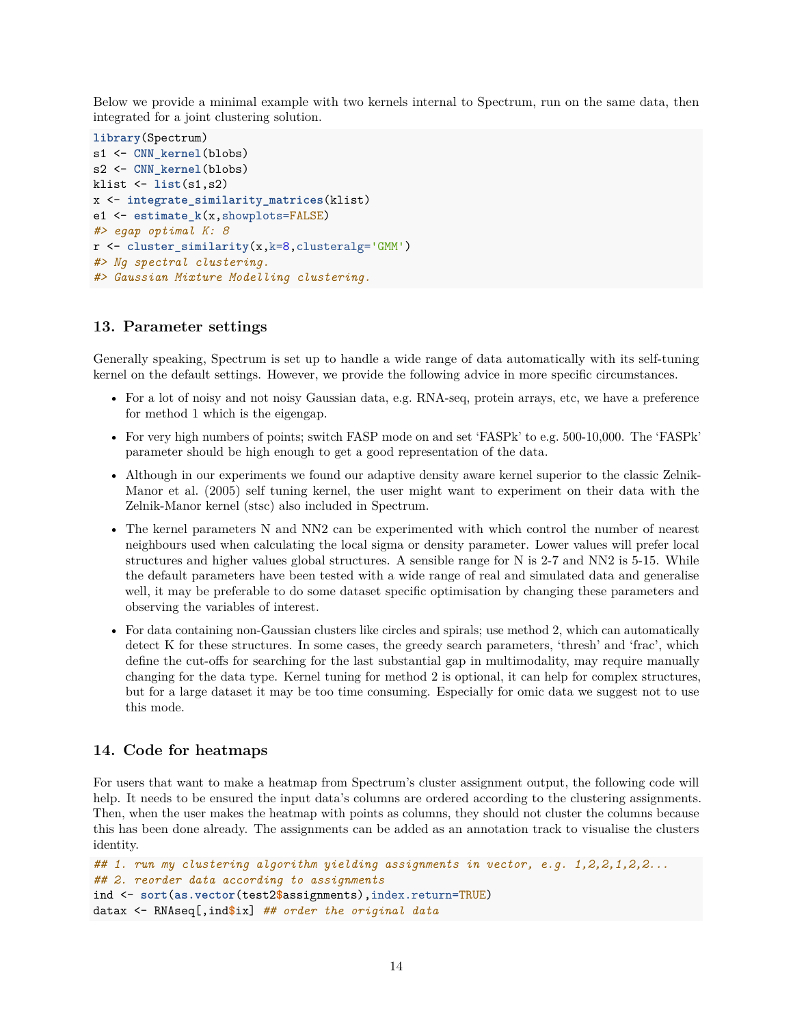Below we provide a minimal example with two kernels internal to Spectrum, run on the same data, then integrated for a joint clustering solution.

```
library(Spectrum)
s1 <- CNN_kernel(blobs)
s2 <- CNN_kernel(blobs)
klist <- list(s1,s2)
x <- integrate_similarity_matrices(klist)
e1 <- estimate_k(x,showplots=FALSE)
#> egap optimal K: 8
r <- cluster_similarity(x,k=8,clusteralg='GMM')
#> Ng spectral clustering.
#> Gaussian Mixture Modelling clustering.
```
#### **13. Parameter settings**

Generally speaking, Spectrum is set up to handle a wide range of data automatically with its self-tuning kernel on the default settings. However, we provide the following advice in more specific circumstances.

- For a lot of noisy and not noisy Gaussian data, e.g. RNA-seq, protein arrays, etc, we have a preference for method 1 which is the eigengap.
- For very high numbers of points; switch FASP mode on and set 'FASPk' to e.g. 500-10,000. The 'FASPk' parameter should be high enough to get a good representation of the data.
- Although in our experiments we found our adaptive density aware kernel superior to the classic Zelnik-Manor et al. (2005) self tuning kernel, the user might want to experiment on their data with the Zelnik-Manor kernel (stsc) also included in Spectrum.
- The kernel parameters N and NN2 can be experimented with which control the number of nearest neighbours used when calculating the local sigma or density parameter. Lower values will prefer local structures and higher values global structures. A sensible range for N is 2-7 and NN2 is 5-15. While the default parameters have been tested with a wide range of real and simulated data and generalise well, it may be preferable to do some dataset specific optimisation by changing these parameters and observing the variables of interest.
- For data containing non-Gaussian clusters like circles and spirals; use method 2, which can automatically detect K for these structures. In some cases, the greedy search parameters, 'thresh' and 'frac', which define the cut-offs for searching for the last substantial gap in multimodality, may require manually changing for the data type. Kernel tuning for method 2 is optional, it can help for complex structures, but for a large dataset it may be too time consuming. Especially for omic data we suggest not to use this mode.

#### **14. Code for heatmaps**

For users that want to make a heatmap from Spectrum's cluster assignment output, the following code will help. It needs to be ensured the input data's columns are ordered according to the clustering assignments. Then, when the user makes the heatmap with points as columns, they should not cluster the columns because this has been done already. The assignments can be added as an annotation track to visualise the clusters identity.

```
## 1. run my clustering algorithm yielding assignments in vector, e.g. 1,2,2,1,2,2...
## 2. reorder data according to assignments
ind <- sort(as.vector(test2$assignments),index.return=TRUE)
datax <- RNAseq[,ind$ix] ## order the original data
```